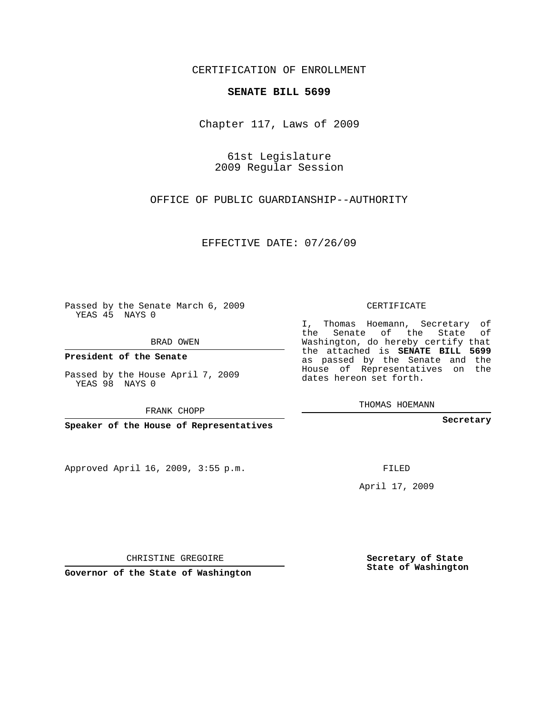## CERTIFICATION OF ENROLLMENT

## **SENATE BILL 5699**

Chapter 117, Laws of 2009

61st Legislature 2009 Regular Session

OFFICE OF PUBLIC GUARDIANSHIP--AUTHORITY

EFFECTIVE DATE: 07/26/09

Passed by the Senate March 6, 2009 YEAS 45 NAYS 0

BRAD OWEN

**President of the Senate**

Passed by the House April 7, 2009 YEAS 98 NAYS 0

FRANK CHOPP

**Speaker of the House of Representatives**

Approved April 16, 2009, 3:55 p.m.

CERTIFICATE

I, Thomas Hoemann, Secretary of the Senate of the State of Washington, do hereby certify that the attached is **SENATE BILL 5699** as passed by the Senate and the House of Representatives on the dates hereon set forth.

THOMAS HOEMANN

**Secretary**

FILED

April 17, 2009

CHRISTINE GREGOIRE

**Governor of the State of Washington**

**Secretary of State State of Washington**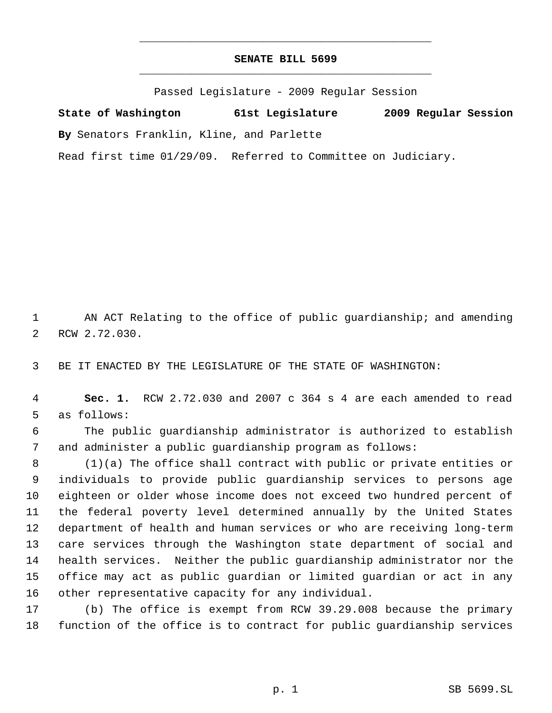## **SENATE BILL 5699** \_\_\_\_\_\_\_\_\_\_\_\_\_\_\_\_\_\_\_\_\_\_\_\_\_\_\_\_\_\_\_\_\_\_\_\_\_\_\_\_\_\_\_\_\_

\_\_\_\_\_\_\_\_\_\_\_\_\_\_\_\_\_\_\_\_\_\_\_\_\_\_\_\_\_\_\_\_\_\_\_\_\_\_\_\_\_\_\_\_\_

Passed Legislature - 2009 Regular Session

**State of Washington 61st Legislature 2009 Regular Session By** Senators Franklin, Kline, and Parlette Read first time 01/29/09. Referred to Committee on Judiciary.

 AN ACT Relating to the office of public guardianship; and amending RCW 2.72.030.

BE IT ENACTED BY THE LEGISLATURE OF THE STATE OF WASHINGTON:

 **Sec. 1.** RCW 2.72.030 and 2007 c 364 s 4 are each amended to read as follows:

 The public guardianship administrator is authorized to establish and administer a public guardianship program as follows:

 (1)(a) The office shall contract with public or private entities or individuals to provide public guardianship services to persons age eighteen or older whose income does not exceed two hundred percent of the federal poverty level determined annually by the United States department of health and human services or who are receiving long-term care services through the Washington state department of social and health services. Neither the public guardianship administrator nor the office may act as public guardian or limited guardian or act in any other representative capacity for any individual.

 (b) The office is exempt from RCW 39.29.008 because the primary function of the office is to contract for public guardianship services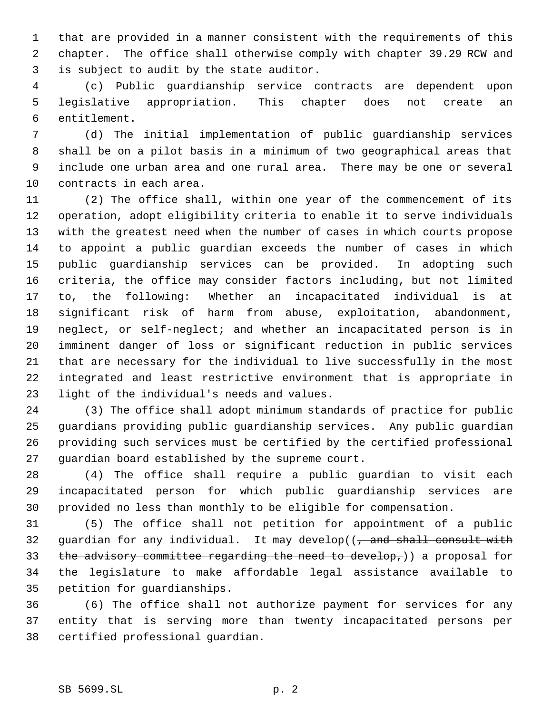that are provided in a manner consistent with the requirements of this chapter. The office shall otherwise comply with chapter 39.29 RCW and is subject to audit by the state auditor.

 (c) Public guardianship service contracts are dependent upon legislative appropriation. This chapter does not create an entitlement.

 (d) The initial implementation of public guardianship services shall be on a pilot basis in a minimum of two geographical areas that include one urban area and one rural area. There may be one or several contracts in each area.

 (2) The office shall, within one year of the commencement of its operation, adopt eligibility criteria to enable it to serve individuals with the greatest need when the number of cases in which courts propose to appoint a public guardian exceeds the number of cases in which public guardianship services can be provided. In adopting such criteria, the office may consider factors including, but not limited to, the following: Whether an incapacitated individual is at significant risk of harm from abuse, exploitation, abandonment, neglect, or self-neglect; and whether an incapacitated person is in imminent danger of loss or significant reduction in public services that are necessary for the individual to live successfully in the most integrated and least restrictive environment that is appropriate in light of the individual's needs and values.

 (3) The office shall adopt minimum standards of practice for public guardians providing public guardianship services. Any public guardian providing such services must be certified by the certified professional guardian board established by the supreme court.

 (4) The office shall require a public guardian to visit each incapacitated person for which public guardianship services are provided no less than monthly to be eligible for compensation.

 (5) The office shall not petition for appointment of a public 32 guardian for any individual. It may develop( $\left( \frac{1}{2} \right)$  and shall consult with 33 the advisory committee regarding the need to develop,)) a proposal for the legislature to make affordable legal assistance available to petition for guardianships.

 (6) The office shall not authorize payment for services for any entity that is serving more than twenty incapacitated persons per certified professional guardian.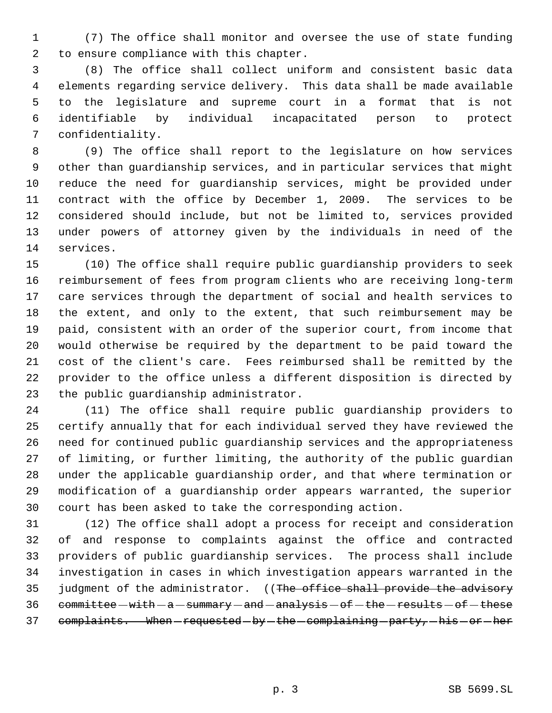(7) The office shall monitor and oversee the use of state funding to ensure compliance with this chapter.

 (8) The office shall collect uniform and consistent basic data elements regarding service delivery. This data shall be made available to the legislature and supreme court in a format that is not identifiable by individual incapacitated person to protect confidentiality.

 (9) The office shall report to the legislature on how services other than guardianship services, and in particular services that might reduce the need for guardianship services, might be provided under contract with the office by December 1, 2009. The services to be considered should include, but not be limited to, services provided under powers of attorney given by the individuals in need of the services.

 (10) The office shall require public guardianship providers to seek reimbursement of fees from program clients who are receiving long-term care services through the department of social and health services to the extent, and only to the extent, that such reimbursement may be paid, consistent with an order of the superior court, from income that would otherwise be required by the department to be paid toward the cost of the client's care. Fees reimbursed shall be remitted by the provider to the office unless a different disposition is directed by the public guardianship administrator.

 (11) The office shall require public guardianship providers to certify annually that for each individual served they have reviewed the need for continued public guardianship services and the appropriateness of limiting, or further limiting, the authority of the public guardian under the applicable guardianship order, and that where termination or modification of a guardianship order appears warranted, the superior court has been asked to take the corresponding action.

 (12) The office shall adopt a process for receipt and consideration of and response to complaints against the office and contracted providers of public guardianship services. The process shall include investigation in cases in which investigation appears warranted in the 35 judgment of the administrator. ((The office shall provide the advisory committee  $-with - a - summary - and - analysis - of - the - results - of - these$ 37 complaints. When-requested-by-the-complaining-party, his or her